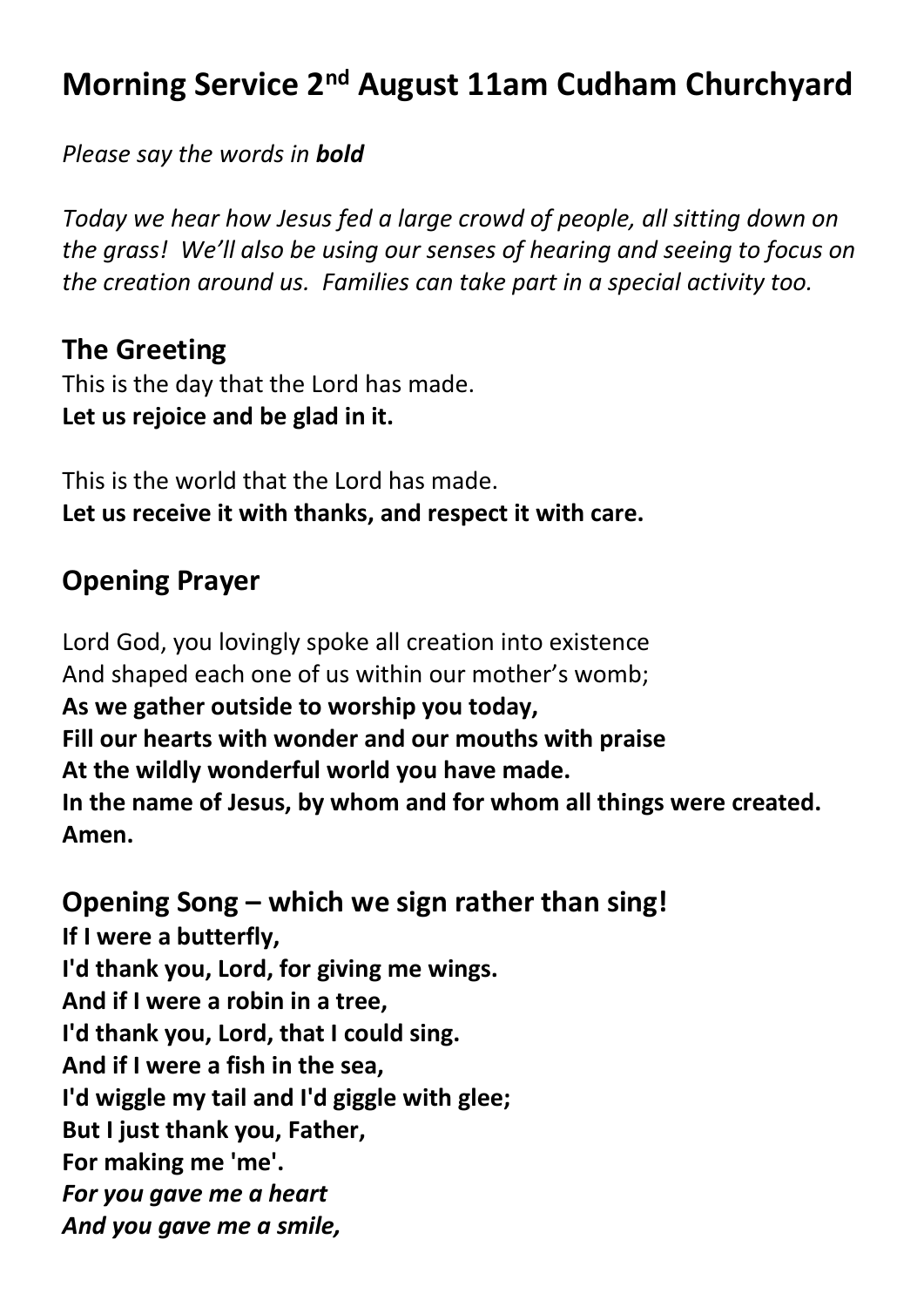# **Morning Service 2 nd August 11am Cudham Churchyard**

*Please say the words in bold*

*Today we hear how Jesus fed a large crowd of people, all sitting down on the grass! We'll also be using our senses of hearing and seeing to focus on the creation around us. Families can take part in a special activity too.*

## **The Greeting**

This is the day that the Lord has made. **Let us rejoice and be glad in it.**

This is the world that the Lord has made. **Let us receive it with thanks, and respect it with care.**

## **Opening Prayer**

Lord God, you lovingly spoke all creation into existence And shaped each one of us within our mother's womb; **As we gather outside to worship you today, Fill our hearts with wonder and our mouths with praise At the wildly wonderful world you have made. In the name of Jesus, by whom and for whom all things were created. Amen.**

**Opening Song – which we sign rather than sing! If I were a butterfly, I'd thank you, Lord, for giving me wings. And if I were a robin in a tree, I'd thank you, Lord, that I could sing. And if I were a fish in the sea, I'd wiggle my tail and I'd giggle with glee; But I just thank you, Father, For making me 'me'.** *For you gave me a heart And you gave me a smile,*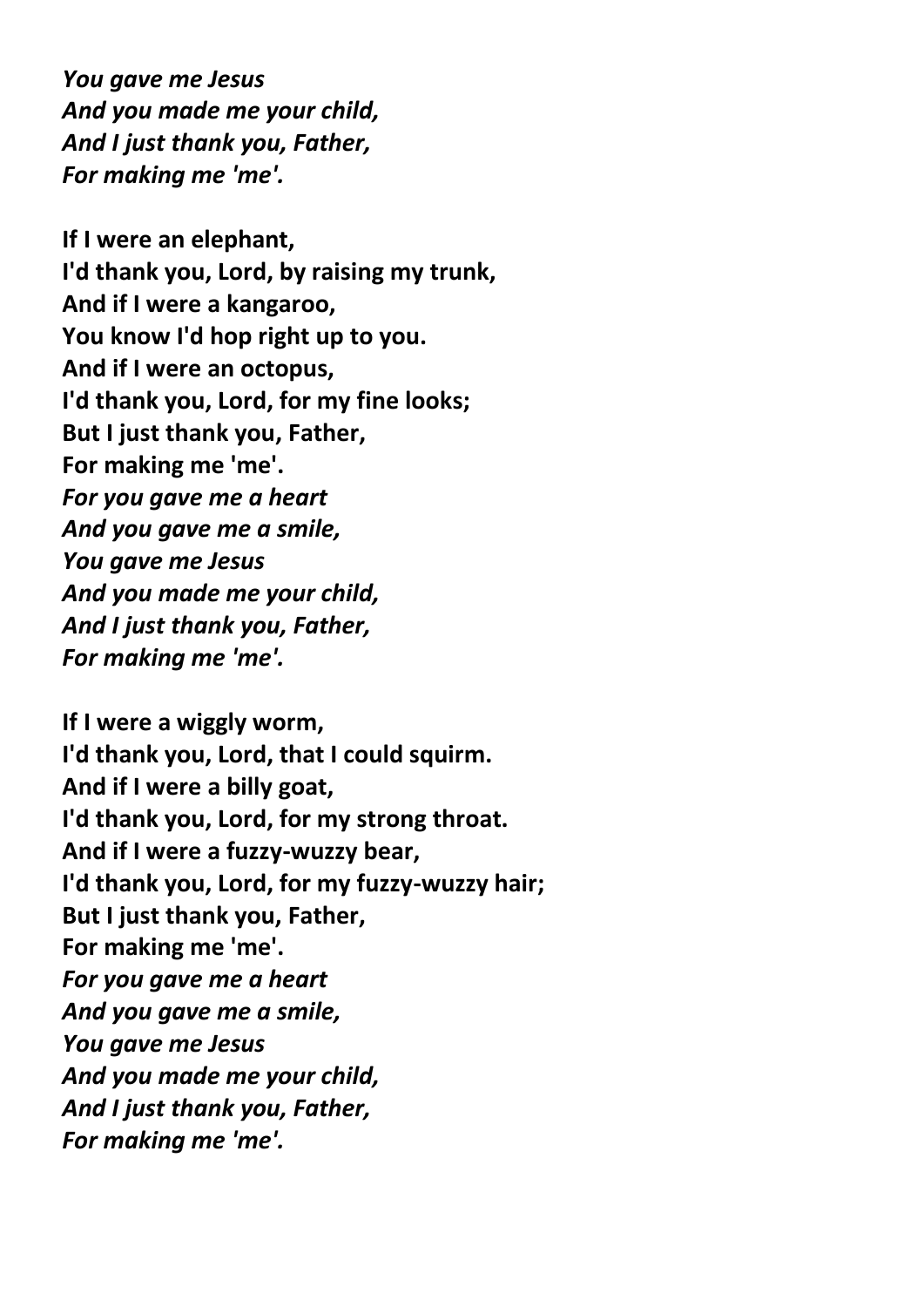*You gave me Jesus And you made me your child, And I just thank you, Father, For making me 'me'.*

**If I were an elephant, I'd thank you, Lord, by raising my trunk, And if I were a kangaroo, You know I'd hop right up to you. And if I were an octopus, I'd thank you, Lord, for my fine looks; But I just thank you, Father, For making me 'me'.** *For you gave me a heart And you gave me a smile, You gave me Jesus And you made me your child, And I just thank you, Father, For making me 'me'.*

**If I were a wiggly worm, I'd thank you, Lord, that I could squirm. And if I were a billy goat, I'd thank you, Lord, for my strong throat. And if I were a fuzzy-wuzzy bear, I'd thank you, Lord, for my fuzzy-wuzzy hair; But I just thank you, Father, For making me 'me'.** *For you gave me a heart And you gave me a smile, You gave me Jesus And you made me your child, And I just thank you, Father, For making me 'me'.*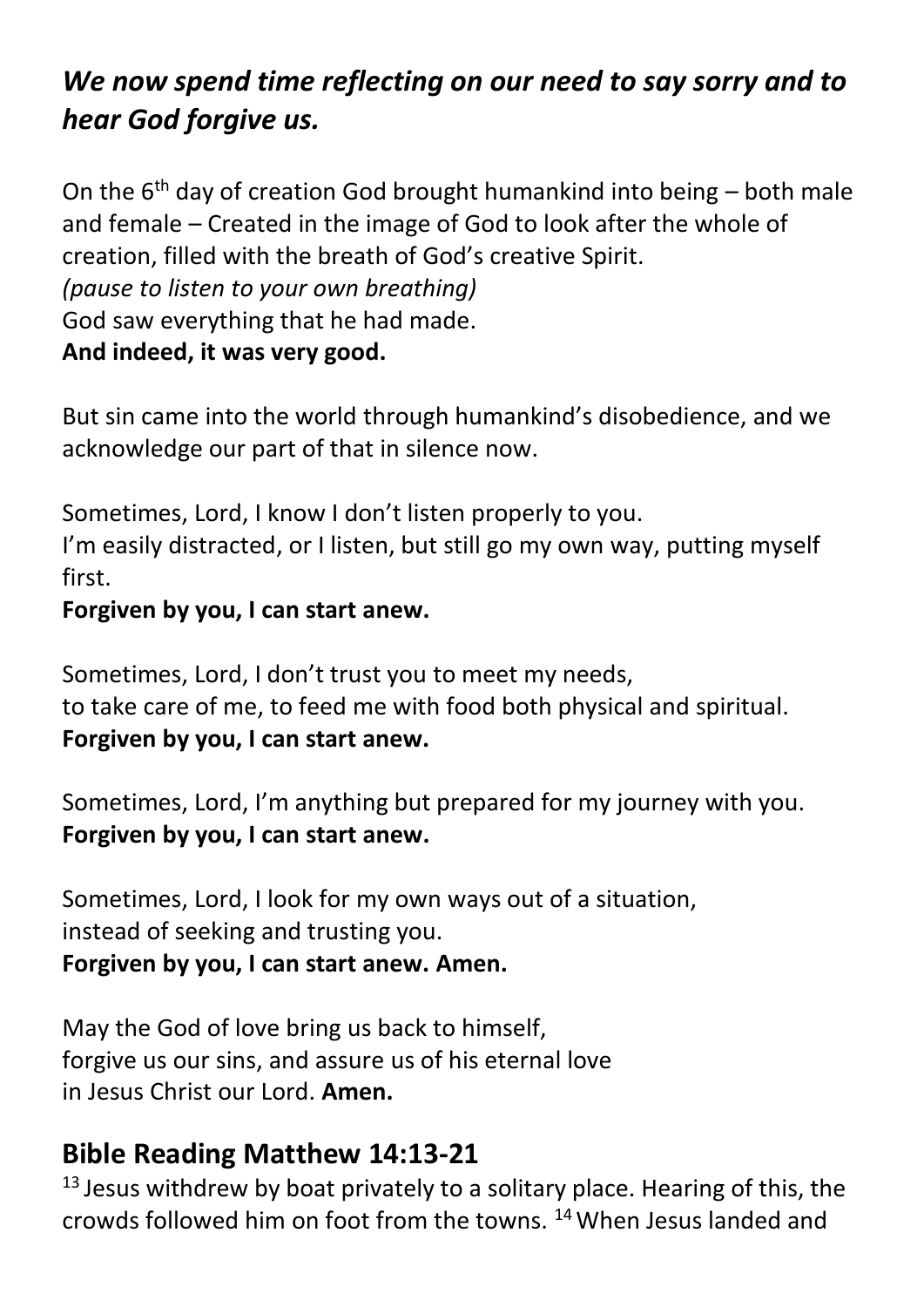# *We now spend time reflecting on our need to say sorry and to hear God forgive us.*

On the  $6<sup>th</sup>$  day of creation God brought humankind into being – both male and female – Created in the image of God to look after the whole of creation, filled with the breath of God's creative Spirit. *(pause to listen to your own breathing)* God saw everything that he had made. **And indeed, it was very good.**

But sin came into the world through humankind's disobedience, and we acknowledge our part of that in silence now.

Sometimes, Lord, I know I don't listen properly to you. I'm easily distracted, or I listen, but still go my own way, putting myself first.

#### **Forgiven by you, I can start anew.**

Sometimes, Lord, I don't trust you to meet my needs, to take care of me, to feed me with food both physical and spiritual. **Forgiven by you, I can start anew.**

Sometimes, Lord, I'm anything but prepared for my journey with you. **Forgiven by you, I can start anew.**

Sometimes, Lord, I look for my own ways out of a situation, instead of seeking and trusting you. **Forgiven by you, I can start anew. Amen.**

May the God of love bring us back to himself, forgive us our sins, and assure us of his eternal love in Jesus Christ our Lord. **Amen.**

## **Bible Reading Matthew 14:13-21**

 $13$  Jesus withdrew by boat privately to a solitary place. Hearing of this, the crowds followed him on foot from the towns. <sup>14</sup>When Jesus landed and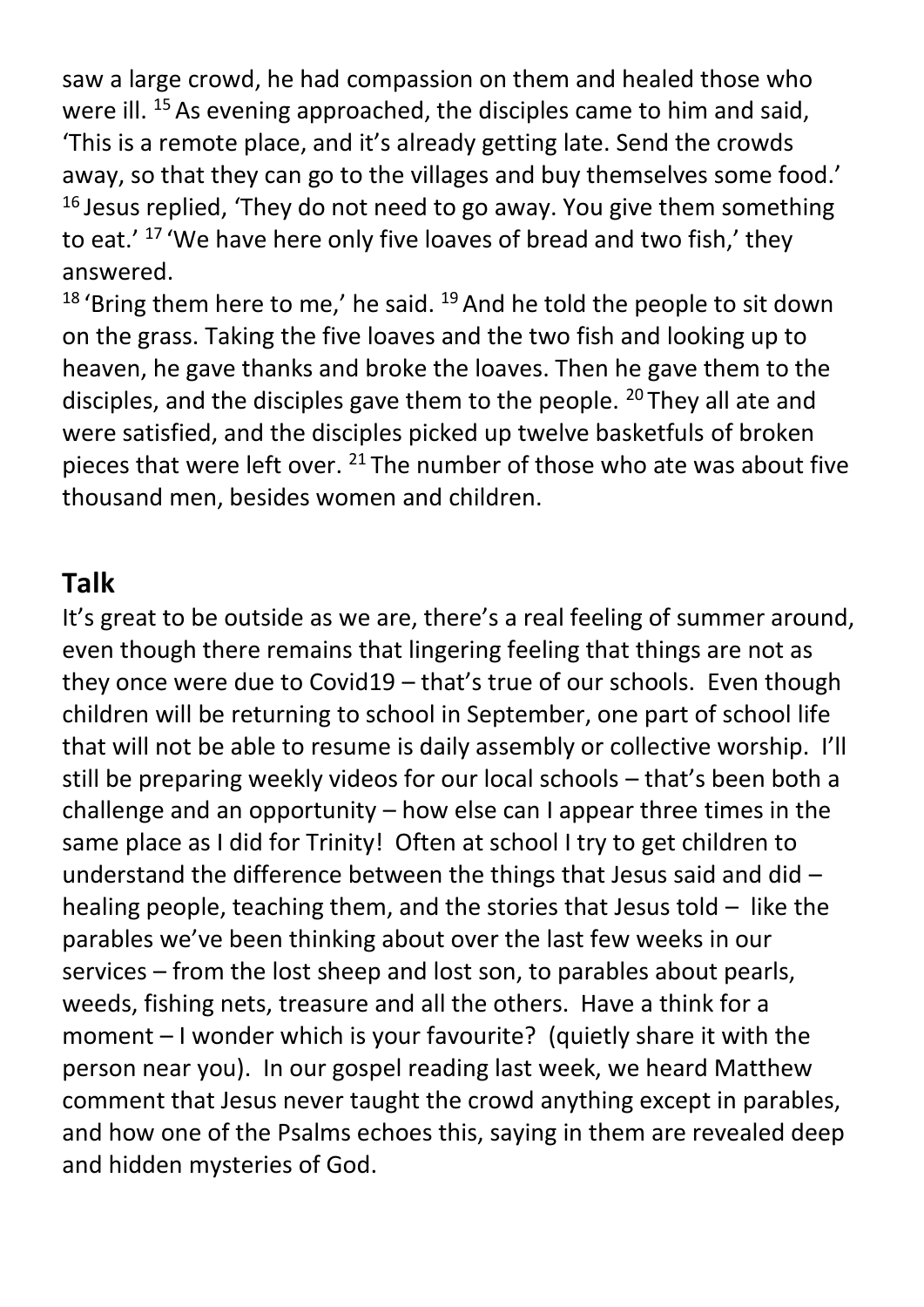saw a large crowd, he had compassion on them and healed those who were ill.<sup>15</sup> As evening approached, the disciples came to him and said, 'This is a remote place, and it's already getting late. Send the crowds away, so that they can go to the villages and buy themselves some food.'  $16$  Jesus replied, 'They do not need to go away. You give them something to eat.' <sup>17</sup> 'We have here only five loaves of bread and two fish,' they answered.

 $18$  'Bring them here to me,' he said.  $19$  And he told the people to sit down on the grass. Taking the five loaves and the two fish and looking up to heaven, he gave thanks and broke the loaves. Then he gave them to the disciples, and the disciples gave them to the people. <sup>20</sup> They all ate and were satisfied, and the disciples picked up twelve basketfuls of broken pieces that were left over. <sup>21</sup> The number of those who ate was about five thousand men, besides women and children.

## **Talk**

It's great to be outside as we are, there's a real feeling of summer around, even though there remains that lingering feeling that things are not as they once were due to Covid19 – that's true of our schools. Even though children will be returning to school in September, one part of school life that will not be able to resume is daily assembly or collective worship. I'll still be preparing weekly videos for our local schools – that's been both a challenge and an opportunity – how else can I appear three times in the same place as I did for Trinity! Often at school I try to get children to understand the difference between the things that Jesus said and did – healing people, teaching them, and the stories that Jesus told – like the parables we've been thinking about over the last few weeks in our services – from the lost sheep and lost son, to parables about pearls, weeds, fishing nets, treasure and all the others. Have a think for a moment – I wonder which is your favourite? (quietly share it with the person near you). In our gospel reading last week, we heard Matthew comment that Jesus never taught the crowd anything except in parables, and how one of the Psalms echoes this, saying in them are revealed deep and hidden mysteries of God.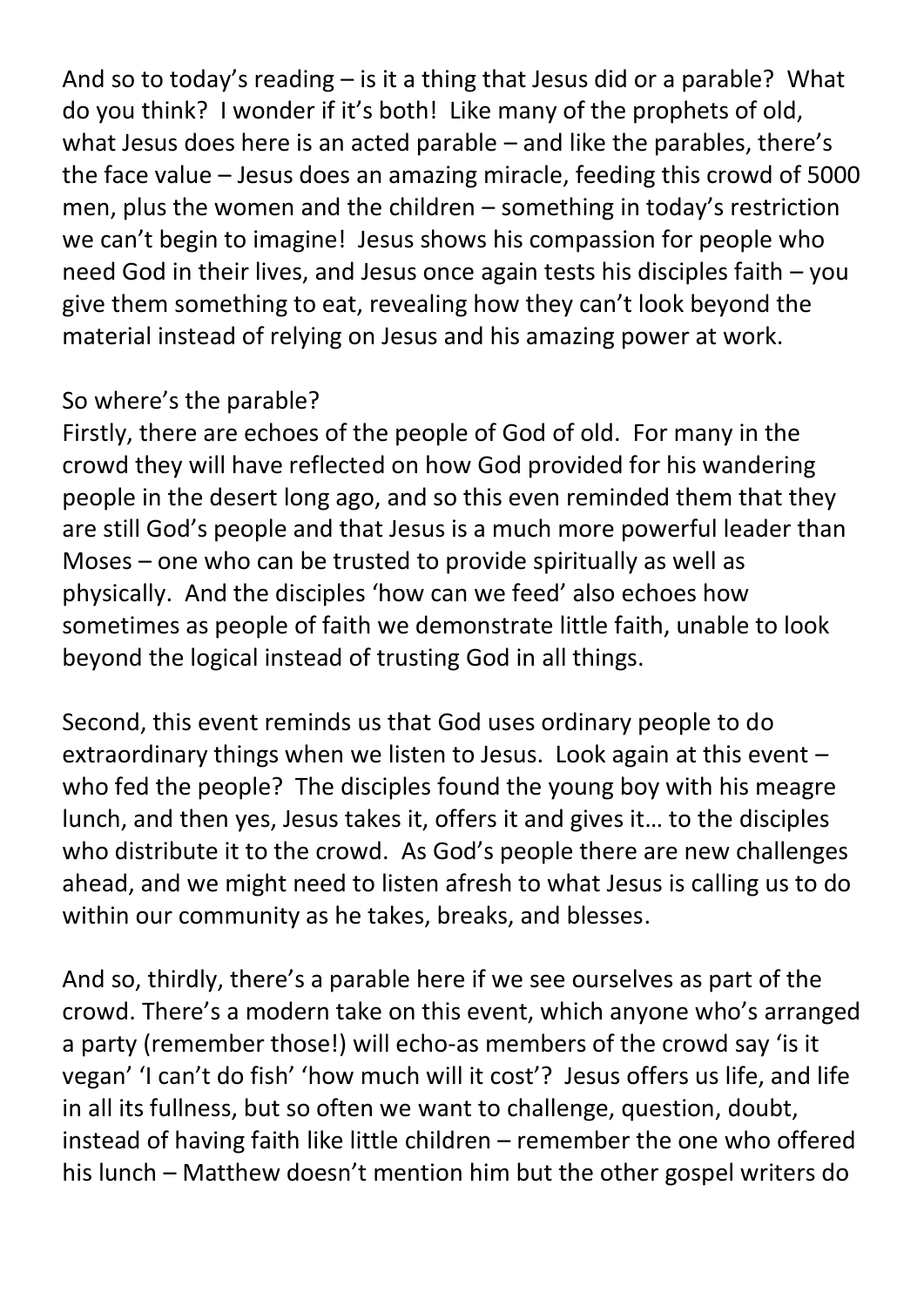And so to today's reading – is it a thing that Jesus did or a parable? What do you think? I wonder if it's both! Like many of the prophets of old, what Jesus does here is an acted parable – and like the parables, there's the face value – Jesus does an amazing miracle, feeding this crowd of 5000 men, plus the women and the children – something in today's restriction we can't begin to imagine! Jesus shows his compassion for people who need God in their lives, and Jesus once again tests his disciples faith – you give them something to eat, revealing how they can't look beyond the material instead of relying on Jesus and his amazing power at work.

## So where's the parable?

Firstly, there are echoes of the people of God of old. For many in the crowd they will have reflected on how God provided for his wandering people in the desert long ago, and so this even reminded them that they are still God's people and that Jesus is a much more powerful leader than Moses – one who can be trusted to provide spiritually as well as physically. And the disciples 'how can we feed' also echoes how sometimes as people of faith we demonstrate little faith, unable to look beyond the logical instead of trusting God in all things.

Second, this event reminds us that God uses ordinary people to do extraordinary things when we listen to Jesus. Look again at this event – who fed the people? The disciples found the young boy with his meagre lunch, and then yes, Jesus takes it, offers it and gives it… to the disciples who distribute it to the crowd. As God's people there are new challenges ahead, and we might need to listen afresh to what Jesus is calling us to do within our community as he takes, breaks, and blesses.

And so, thirdly, there's a parable here if we see ourselves as part of the crowd. There's a modern take on this event, which anyone who's arranged a party (remember those!) will echo-as members of the crowd say 'is it vegan' 'I can't do fish' 'how much will it cost'? Jesus offers us life, and life in all its fullness, but so often we want to challenge, question, doubt, instead of having faith like little children – remember the one who offered his lunch – Matthew doesn't mention him but the other gospel writers do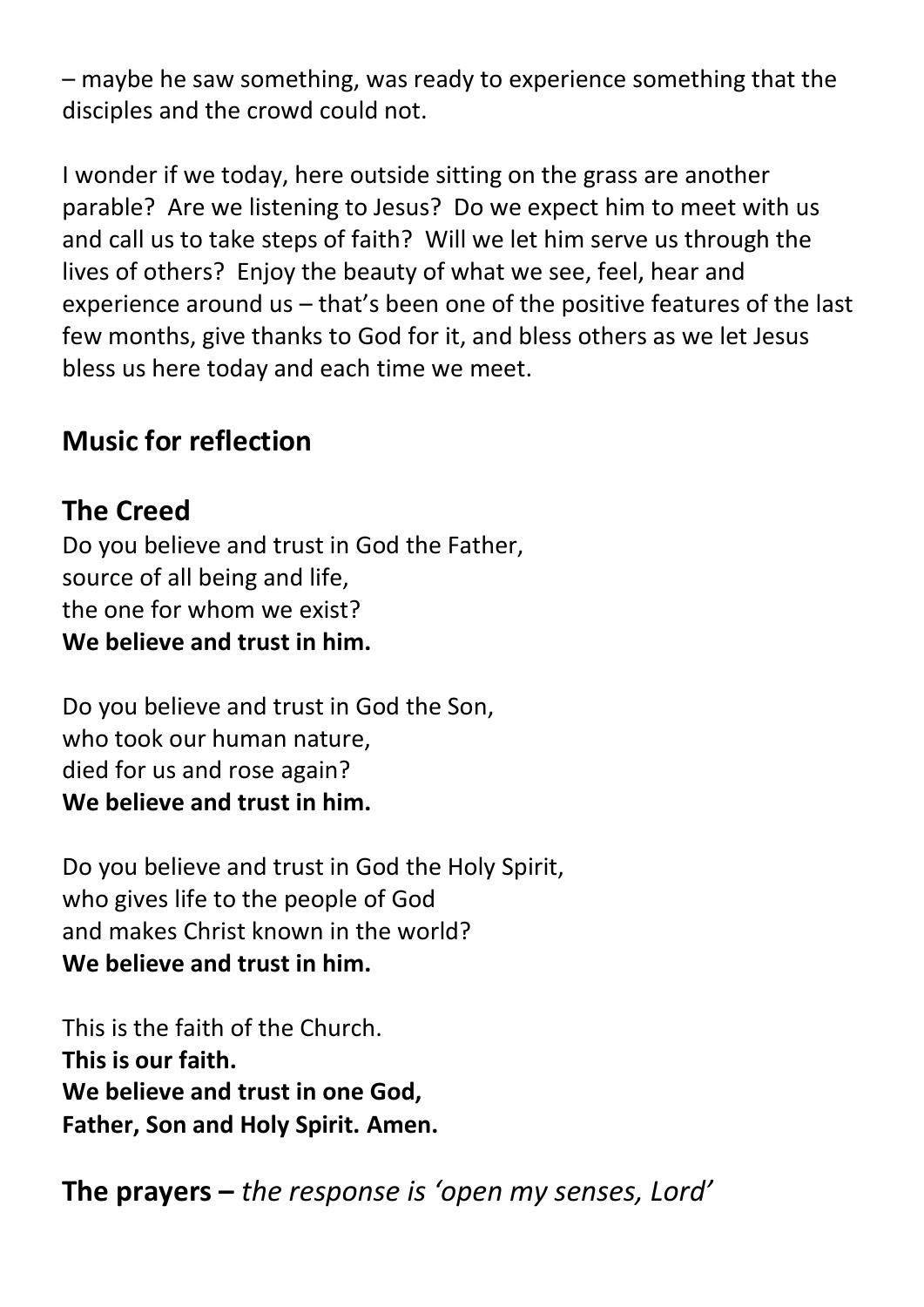– maybe he saw something, was ready to experience something that the disciples and the crowd could not.

I wonder if we today, here outside sitting on the grass are another parable? Are we listening to Jesus? Do we expect him to meet with us and call us to take steps of faith? Will we let him serve us through the lives of others? Enjoy the beauty of what we see, feel, hear and experience around us – that's been one of the positive features of the last few months, give thanks to God for it, and bless others as we let Jesus bless us here today and each time we meet.

## **Music for reflection**

## **The Creed**

Do you believe and trust in God the Father, source of all being and life, the one for whom we exist? **We believe and trust in him.**

Do you believe and trust in God the Son, who took our human nature, died for us and rose again? **We believe and trust in him.**

Do you believe and trust in God the Holy Spirit, who gives life to the people of God and makes Christ known in the world? **We believe and trust in him.**

This is the faith of the Church. **This is our faith. We believe and trust in one God, Father, Son and Holy Spirit. Amen.**

**The prayers –** *the response is 'open my senses, Lord'*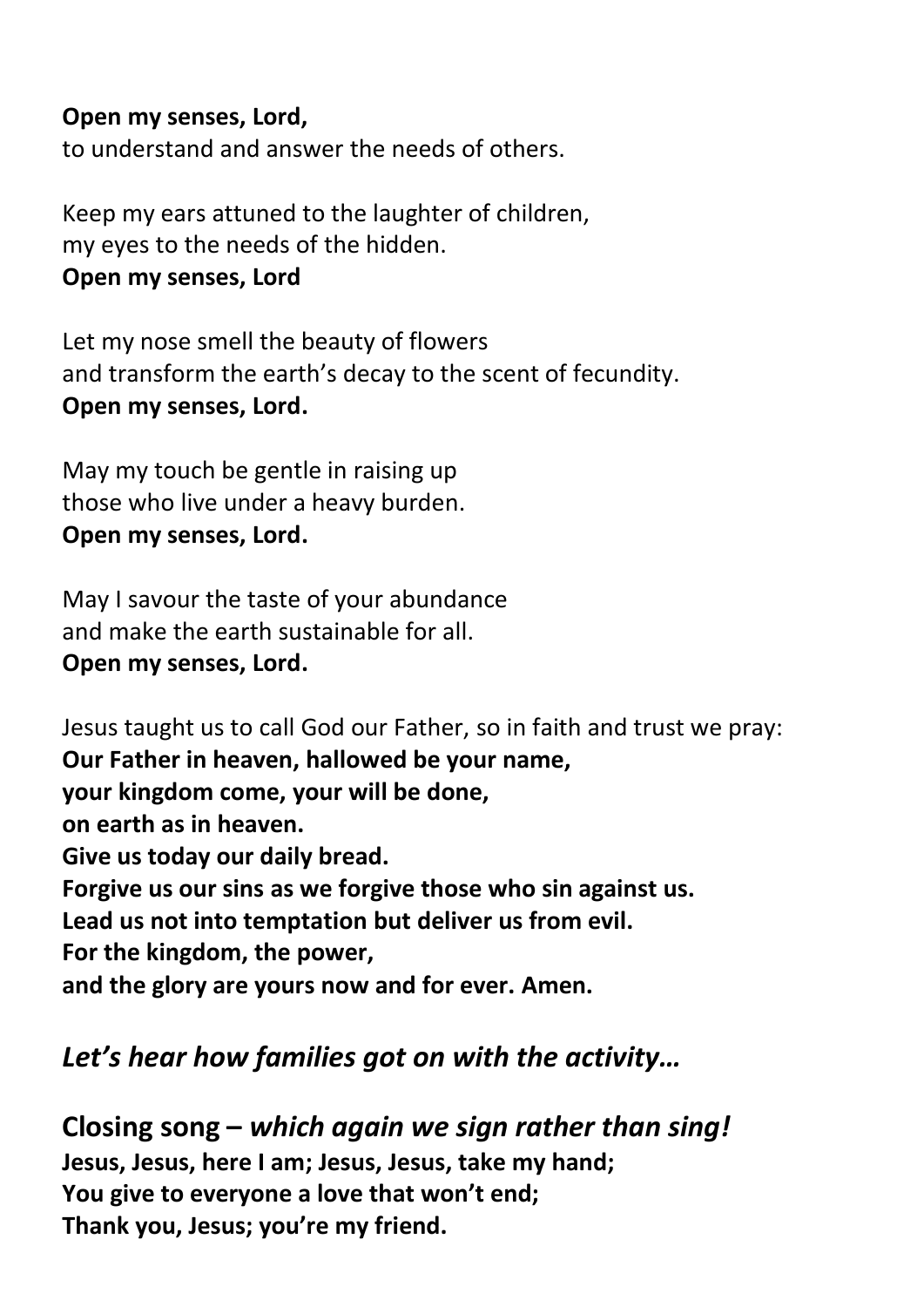#### **Open my senses, Lord,**

to understand and answer the needs of others.

Keep my ears attuned to the laughter of children, my eyes to the needs of the hidden. **Open my senses, Lord**

Let my nose smell the beauty of flowers and transform the earth's decay to the scent of fecundity. **Open my senses, Lord.**

May my touch be gentle in raising up those who live under a heavy burden. **Open my senses, Lord.**

May I savour the taste of your abundance and make the earth sustainable for all. **Open my senses, Lord.**

Jesus taught us to call God our Father, so in faith and trust we pray: **Our Father in heaven, hallowed be your name, your kingdom come, your will be done, on earth as in heaven. Give us today our daily bread. Forgive us our sins as we forgive those who sin against us. Lead us not into temptation but deliver us from evil. For the kingdom, the power, and the glory are yours now and for ever. Amen.**

## *Let's hear how families got on with the activity…*

**Closing song –** *which again we sign rather than sing!* **Jesus, Jesus, here I am; Jesus, Jesus, take my hand; You give to everyone a love that won't end; Thank you, Jesus; you're my friend.**